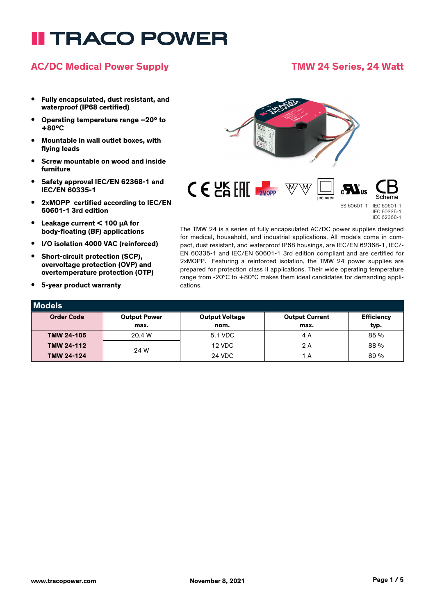# **TRACO POWER**

### **AC/DC Medical Power Supply TMW 24 Series, 24 Watt**

#### **• Fully encapsulated, dust resistant, and waterproof (IP68 certified)**

- **• Operating temperature range –20° to +80°C**
- **• Mountable in wall outlet boxes, with flying leads**
- **• Screw mountable on wood and inside furniture**
- **• Safety approval IEC/EN 62368-1 and IEC/EN 60335-1**
- **• 2xMOPP certified according to IEC/EN 60601-1 3rd edition**
- **• Leakage current < 100 µA for body-floating (BF) applications**
- **• I/O isolation 4000 VAC (reinforced)**
- **• Short-circuit protection (SCP), overvoltage protection (OVP) and overtemperature protection (OTP)**
- **• 5-year product warranty**

**Models**



The TMW 24 is a series of fully encapsulated AC/DC power supplies designed for medical, household, and industrial applications. All models come in compact, dust resistant, and waterproof IP68 housings, are IEC/EN 62368-1, IEC/- EN 60335-1 and IEC/EN 60601-1 3rd edition compliant and are certified for 2xMOPP. Featuring a reinforced isolation, the TMW 24 power supplies are prepared for protection class II applications. Their wide operating temperature range from -20°C to +80°C makes them ideal candidates for demanding applications.

| <b>INQUER</b>     |                     |                       |                       |                   |
|-------------------|---------------------|-----------------------|-----------------------|-------------------|
| <b>Order Code</b> | <b>Output Power</b> | <b>Output Voltage</b> | <b>Output Current</b> | <b>Efficiency</b> |
|                   | max.                | nom.                  | max.                  | typ.              |
| <b>TMW 24-105</b> | 20.4 W              | 5.1 VDC               | 4 A                   | 85 %              |
| TMW 24-112        | 24 W                | 12 VDC                | 2A                    | 88%               |
| <b>TMW 24-124</b> |                     | <b>24 VDC</b>         | A                     | 89 %              |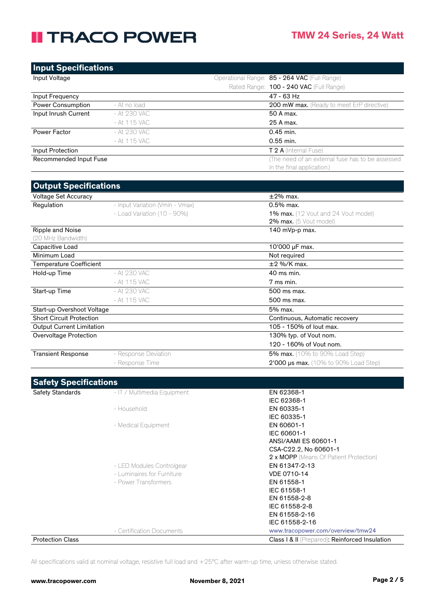| <b>Input Specifications</b> |              |                                              |                                                   |
|-----------------------------|--------------|----------------------------------------------|---------------------------------------------------|
| Input Voltage               |              | Operational Range: 85 - 264 VAC (Full Range) |                                                   |
|                             |              |                                              | Rated Range: 100 - 240 VAC (Full Range)           |
| Input Frequency             |              |                                              | 47 - 63 Hz                                        |
| <b>Power Consumption</b>    | - At no load |                                              | 200 mW max. (Ready to meet ErP directive)         |
| Input Inrush Current        | - At 230 VAC |                                              | 50 A max.                                         |
|                             | - At 115 VAC |                                              | 25 A max.                                         |
| Power Factor                | - At 230 VAC |                                              | $0.45$ min.                                       |
|                             | - At 115 VAC |                                              | 0.55 min.                                         |
| Input Protection            |              |                                              | <b>T 2 A</b> (Internal Fuse)                      |
| Recommended Input Fuse      |              |                                              | (The need of an external fuse has to be assessed) |
|                             |              |                                              | in the final application.)                        |

| <b>Output Specifications</b>     |                                 |                                             |  |
|----------------------------------|---------------------------------|---------------------------------------------|--|
| Voltage Set Accuracy             |                                 | $\pm 2\%$ max.                              |  |
| Regulation                       | - Input Variation (Vmin - Vmax) | $0.5%$ max.                                 |  |
|                                  | - Load Variation (10 - $90\%$ ) | <b>1% max.</b> (12 Vout and 24 Vout model)  |  |
|                                  |                                 | <b>2% max.</b> (5 Vout model)               |  |
| Ripple and Noise                 |                                 | 140 mVp-p max.                              |  |
| (20 MHz Bandwidth)               |                                 |                                             |  |
| Capacitive Load                  |                                 | 10'000 µF max.                              |  |
| Minimum Load                     |                                 | Not required                                |  |
| Temperature Coefficient          |                                 | $\pm 2$ %/K max.                            |  |
| Hold-up Time                     | - At 230 VAC                    | 40 ms min.                                  |  |
|                                  | - At 115 VAC                    | 7 ms min.                                   |  |
| Start-up Time                    | - At 230 VAC                    | 500 ms max.                                 |  |
|                                  | - At 115 VAC                    | 500 ms max.                                 |  |
| Start-up Overshoot Voltage       |                                 | 5% max.                                     |  |
| <b>Short Circuit Protection</b>  |                                 | Continuous, Automatic recovery              |  |
| <b>Output Current Limitation</b> |                                 | 105 - 150% of lout max.                     |  |
| Overvoltage Protection           |                                 | 130% typ. of Vout nom.                      |  |
|                                  |                                 | 120 - 160% of Vout nom.                     |  |
| <b>Transient Response</b>        | - Response Deviation            | <b>5% max.</b> (10% to 90% Load Step)       |  |
|                                  | - Response Time                 | <b>2'000 µs max.</b> (10% to 90% Load Step) |  |

| <b>Safety Specifications</b> |                             |                                                |
|------------------------------|-----------------------------|------------------------------------------------|
| Safety Standards             | - IT / Multimedia Equipment | EN 62368-1                                     |
|                              |                             | IEC 62368-1                                    |
|                              | - Household                 | EN 60335-1                                     |
|                              |                             | IEC 60335-1                                    |
|                              | - Medical Equipment         | EN 60601-1                                     |
|                              |                             | IEC 60601-1                                    |
|                              |                             | ANSI/AAMI ES 60601-1                           |
|                              |                             | CSA-C22.2, No 60601-1                          |
|                              |                             | 2 x MOPP (Means Of Patient Protection)         |
|                              | - LED Modules Controlgear   | EN 61347-2-13                                  |
|                              | - Luminaires for Furniture  | VDE 0710-14                                    |
|                              | - Power Transformers        | EN 61558-1                                     |
|                              |                             | IEC 61558-1                                    |
|                              |                             | EN 61558-2-8                                   |
|                              |                             | IEC 61558-2-8                                  |
|                              |                             | EN 61558-2-16                                  |
|                              |                             | IEC 61558-2-16                                 |
|                              | - Certification Documents   | www.tracopower.com/overview/tmw24              |
| <b>Protection Class</b>      |                             | Class   & II (Prepared): Reinforced Insulation |

All specifications valid at nominal voltage, resistive full load and +25°C after warm-up time, unless otherwise stated.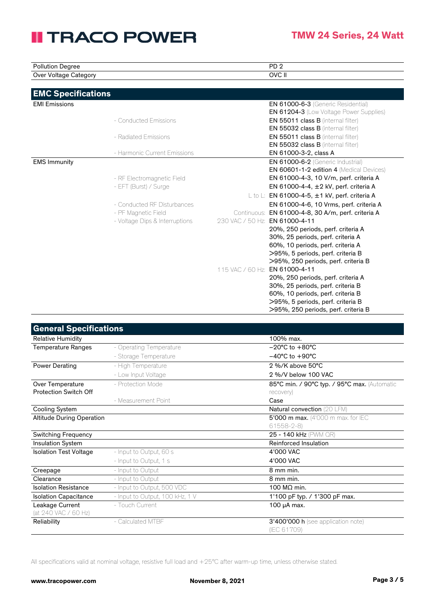| <b>Pollution Degree</b>   |                                |                  | PD <sub>2</sub>                                                                      |
|---------------------------|--------------------------------|------------------|--------------------------------------------------------------------------------------|
| Over Voltage Category     |                                |                  | OVC II                                                                               |
|                           |                                |                  |                                                                                      |
| <b>EMC Specifications</b> |                                |                  |                                                                                      |
| <b>EMI Emissions</b>      |                                |                  | <b>EN 61000-6-3</b> (Generic Residential)                                            |
|                           |                                |                  | <b>EN 61204-3</b> (Low Voltage Power Supplies)                                       |
|                           | - Conducted Emissions          |                  | <b>EN 55011 class B</b> (internal filter)                                            |
|                           |                                |                  | EN 55032 class B (internal filter)                                                   |
|                           | - Radiated Emissions           |                  | <b>EN 55011 class B</b> (internal filter)                                            |
|                           |                                |                  | EN 55032 class B (internal filter)                                                   |
|                           | - Harmonic Current Emissions   |                  | EN 61000-3-2, class A                                                                |
| <b>EMS Immunity</b>       |                                |                  | EN 61000-6-2 (Generic Industrial)<br><b>EN 60601-1-2 edition 4 (Medical Devices)</b> |
|                           | - RF Electromagnetic Field     |                  | EN 61000-4-3, 10 V/m, perf. criteria A                                               |
|                           | - EFT (Burst) / Surge          |                  | EN 61000-4-4, $\pm$ 2 kV, perf. criteria A                                           |
|                           |                                |                  | L to L: EN 61000-4-5, $\pm$ 1 kV, perf. criteria A                                   |
|                           | - Conducted RF Disturbances    |                  | EN 61000-4-6, 10 Vrms, perf. criteria A                                              |
|                           | - PF Magnetic Field            |                  | Continuous: EN 61000-4-8, 30 A/m, perf. criteria A                                   |
|                           | - Voltage Dips & Interruptions |                  | 230 VAC / 50 Hz: EN 61000-4-11                                                       |
|                           |                                |                  | 20%, 250 periods, perf. criteria A                                                   |
|                           |                                |                  | 30%, 25 periods, perf. criteria A                                                    |
|                           |                                |                  | 60%, 10 periods, perf. criteria A                                                    |
|                           |                                |                  | >95%, 5 periods, perf. criteria B                                                    |
|                           |                                |                  | >95%, 250 periods, perf. criteria B                                                  |
|                           |                                | 115 VAC / 60 Hz: | EN 61000-4-11                                                                        |
|                           |                                |                  | 20%, 250 periods, perf. criteria A                                                   |
|                           |                                |                  | 30%, 25 periods, perf. criteria B                                                    |
|                           |                                |                  | 60%, 10 periods, perf. criteria B<br>>95%, 5 periods, perf. criteria B               |
|                           |                                |                  | >95%, 250 periods, perf. criteria B                                                  |

| <b>General Specifications</b>    |                                 |                                              |
|----------------------------------|---------------------------------|----------------------------------------------|
| <b>Relative Humidity</b>         |                                 | 100% max.                                    |
| <b>Temperature Ranges</b>        | - Operating Temperature         | $-20^{\circ}$ C to $+80^{\circ}$ C           |
|                                  | - Storage Temperature           | $-40^{\circ}$ C to $+90^{\circ}$ C           |
| Power Derating                   | - High Temperature              | $2\%$ /K above 50 $^{\circ}$ C               |
|                                  | - Low Input Voltage             | 2 %/V below 100 VAC                          |
| Over Temperature                 | - Protection Mode               | 85°C min. / 90°C typ. / 95°C max. (Automatic |
| <b>Protection Switch Off</b>     |                                 | recovery)                                    |
|                                  | - Measurement Point             | Case                                         |
| <b>Cooling System</b>            |                                 | Natural convection (20 LFM)                  |
| <b>Altitude During Operation</b> |                                 | <b>5'000 m max.</b> (4'000 m max. for IEC    |
|                                  |                                 | $61558 - 2 - 8$                              |
| <b>Switching Frequency</b>       |                                 | 25 - 140 kHz (PWM QR)                        |
| <b>Insulation System</b>         |                                 | Reinforced Insulation                        |
| <b>Isolation Test Voltage</b>    | - Input to Output, 60 s         | 4'000 VAC                                    |
|                                  | - Input to Output, 1 s          | 4'000 VAC                                    |
| Creepage                         | - Input to Output               | 8 mm min.                                    |
| Clearance                        | - Input to Output               | 8 mm min.                                    |
| <b>Isolation Resistance</b>      | - Input to Output, 500 VDC      | 100 MΩ min.                                  |
| <b>Isolation Capacitance</b>     | - Input to Output, 100 kHz, 1 V | 1'100 pF typ. / 1'300 pF max.                |
| Leakage Current                  | - Touch Current                 | 100 µA max.                                  |
| (at 240 VAC / 60 Hz)             |                                 |                                              |
| Reliability                      | - Calculated MTBF               | <b>3'400'000 h</b> (see application note)    |
|                                  |                                 | (IEC 61709)                                  |

All specifications valid at nominal voltage, resistive full load and +25°C after warm-up time, unless otherwise stated.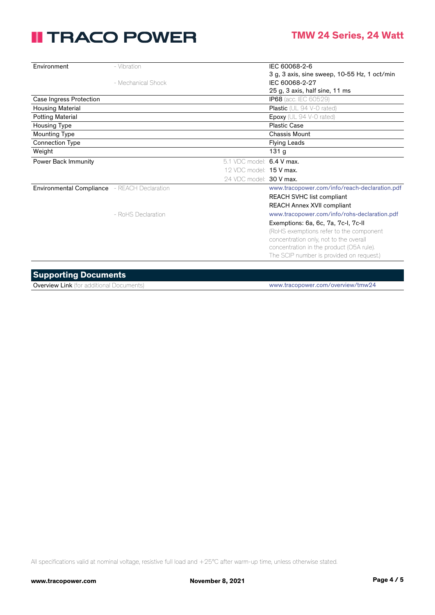| Environment             | - Vibration                                  |                                | IEC 60068-2-6                                 |
|-------------------------|----------------------------------------------|--------------------------------|-----------------------------------------------|
|                         |                                              |                                | 3 g, 3 axis, sine sweep, 10-55 Hz, 1 oct/min  |
|                         | - Mechanical Shock                           |                                | IEC 60068-2-27                                |
|                         |                                              |                                | 25 g, 3 axis, half sine, 11 ms                |
| Case Ingress Protection |                                              |                                | <b>IP68</b> (acc. IEC 60529)                  |
| <b>Housing Material</b> |                                              |                                | Plastic (UL 94 V-0 rated)                     |
| <b>Potting Material</b> |                                              |                                | Epoxy (UL 94 V-0 rated)                       |
| <b>Housing Type</b>     |                                              |                                | <b>Plastic Case</b>                           |
| Mounting Type           |                                              |                                | Chassis Mount                                 |
| Connection Type         |                                              |                                | <b>Flying Leads</b>                           |
| Weight                  |                                              |                                | 131 <sub>g</sub>                              |
| Power Back Immunity     |                                              | 5.1 VDC model: 6.4 V max.      |                                               |
|                         |                                              | 12 VDC model: <b>15 V max.</b> |                                               |
|                         |                                              | 24 VDC model: 30 V max.        |                                               |
|                         | Environmental Compliance - REACH Declaration |                                | www.tracopower.com/info/reach-declaration.pdf |
|                         |                                              |                                | <b>REACH SVHC list compliant</b>              |
|                         |                                              |                                | <b>REACH Annex XVII compliant</b>             |
|                         | - RoHS Declaration                           |                                | www.tracopower.com/info/rohs-declaration.pdf  |
|                         |                                              |                                | Exemptions: 6a, 6c, 7a, 7c-I, 7c-II           |
|                         |                                              |                                | (RoHS exemptions refer to the component       |
|                         |                                              |                                | concentration only, not to the overall        |
|                         |                                              |                                | concentration in the product (O5A rule).      |
|                         |                                              |                                | The SCIP number is provided on request.)      |
|                         |                                              |                                |                                               |

#### **Supporting Documents**

Overview Link (for additional Documents) www.tracopower.com/overview/tmw24

All specifications valid at nominal voltage, resistive full load and +25°C after warm-up time, unless otherwise stated.